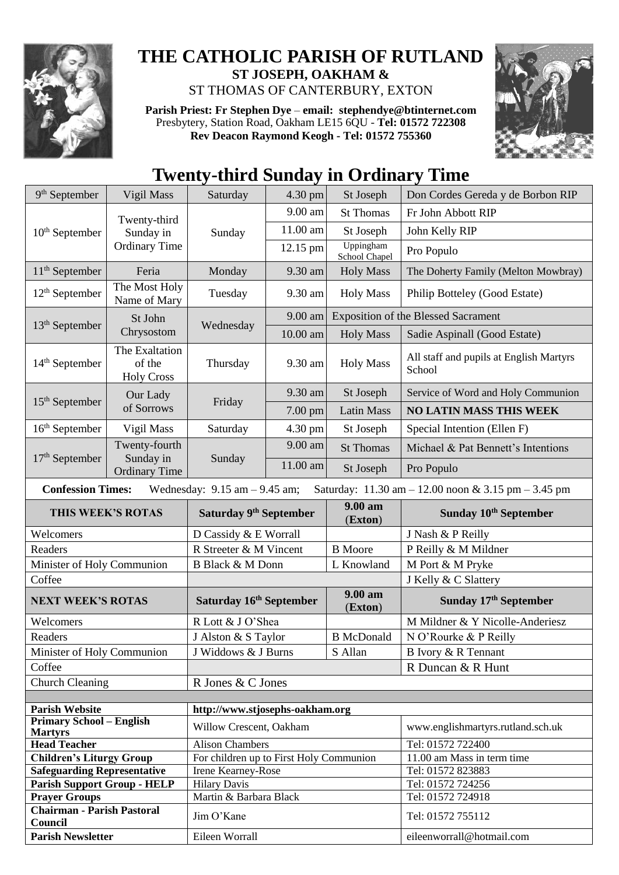

## **THE CATHOLIC PARISH OF RUTLAND ST JOSEPH, OAKHAM &**  ST THOMAS OF CANTERBURY, EXTON

**Parish Priest: Fr Stephen Dye** – **[email: stephendye@btinternet.com](mailto:email:%20%20stephendye@btinternet.com)** Presbytery, Station Road, Oakham LE15 6QU - **Tel: 01572 722308 Rev Deacon Raymond Keogh - Tel: 01572 755360**



## **Twenty-third Sunday in Ordinary Time**

| 9 <sup>th</sup> September                                                                                                                               | Vigil Mass                                         | Saturday                                | 4.30 pm  | St Joseph                  | Don Cordes Gereda y de Borbon RIP                 |  |  |
|---------------------------------------------------------------------------------------------------------------------------------------------------------|----------------------------------------------------|-----------------------------------------|----------|----------------------------|---------------------------------------------------|--|--|
| $10th$ September                                                                                                                                        | Twenty-third<br>Sunday in<br><b>Ordinary Time</b>  | Sunday                                  | 9.00 am  | <b>St Thomas</b>           | Fr John Abbott RIP                                |  |  |
|                                                                                                                                                         |                                                    |                                         | 11.00 am | St Joseph                  | John Kelly RIP                                    |  |  |
|                                                                                                                                                         |                                                    |                                         | 12.15 pm | Uppingham<br>School Chapel | Pro Populo                                        |  |  |
| $11th$ September                                                                                                                                        | Feria                                              | Monday                                  | 9.30 am  | <b>Holy Mass</b>           | The Doherty Family (Melton Mowbray)               |  |  |
| $12th$ September                                                                                                                                        | The Most Holy<br>Name of Mary                      | Tuesday                                 | 9.30 am  | <b>Holy Mass</b>           | Philip Botteley (Good Estate)                     |  |  |
| $13th$ September                                                                                                                                        | St John<br>Chrysostom                              | Wednesday                               | 9.00 am  |                            | <b>Exposition of the Blessed Sacrament</b>        |  |  |
|                                                                                                                                                         |                                                    |                                         | 10.00 am | <b>Holy Mass</b>           | Sadie Aspinall (Good Estate)                      |  |  |
| $14th$ September                                                                                                                                        | The Exaltation<br>of the<br><b>Holy Cross</b>      | Thursday                                | 9.30 am  | <b>Holy Mass</b>           | All staff and pupils at English Martyrs<br>School |  |  |
|                                                                                                                                                         | Our Lady<br>of Sorrows                             | Friday                                  | 9.30 am  | St Joseph                  | Service of Word and Holy Communion                |  |  |
| $15th$ September                                                                                                                                        |                                                    |                                         | 7.00 pm  | <b>Latin Mass</b>          | <b>NO LATIN MASS THIS WEEK</b>                    |  |  |
| $16th$ September                                                                                                                                        | Vigil Mass                                         | Saturday                                | 4.30 pm  | St Joseph                  | Special Intention (Ellen F)                       |  |  |
|                                                                                                                                                         | Twenty-fourth<br>Sunday in<br><b>Ordinary Time</b> | Sunday                                  | 9.00 am  | <b>St Thomas</b>           | Michael & Pat Bennett's Intentions                |  |  |
| $17th$ September                                                                                                                                        |                                                    |                                         | 11.00 am | St Joseph                  | Pro Populo                                        |  |  |
| <b>Confession Times:</b><br>Wednesday: $9.15$ am $- 9.45$ am;<br>Saturday: $11.30 \text{ am} - 12.00 \text{ noon} \& 3.15 \text{ pm} - 3.45 \text{ pm}$ |                                                    |                                         |          |                            |                                                   |  |  |
| THIS WEEK'S ROTAS                                                                                                                                       |                                                    | Saturday 9 <sup>th</sup> September      |          | $9.00 a$ m<br>(Exton)      | Sunday 10 <sup>th</sup> September                 |  |  |
| Welcomers                                                                                                                                               |                                                    | D Cassidy & E Worrall                   |          |                            | J Nash & P Reilly                                 |  |  |
| Readers                                                                                                                                                 |                                                    | R Streeter & M Vincent                  |          | <b>B</b> Moore             | P Reilly & M Mildner                              |  |  |
| Minister of Holy Communion                                                                                                                              |                                                    | <b>B Black &amp; M Donn</b>             |          | L Knowland                 | M Port & M Pryke                                  |  |  |
| Coffee                                                                                                                                                  |                                                    |                                         |          |                            | J Kelly & C Slattery                              |  |  |
| <b>NEXT WEEK'S ROTAS</b>                                                                                                                                |                                                    | Saturday 16 <sup>th</sup> September     |          |                            |                                                   |  |  |
| Welcomers                                                                                                                                               |                                                    |                                         |          | 9.00 am<br>(Exton)         | Sunday 17 <sup>th</sup> September                 |  |  |
| Readers                                                                                                                                                 |                                                    | R Lott & J O'Shea                       |          |                            | M Mildner & Y Nicolle-Anderiesz                   |  |  |
|                                                                                                                                                         |                                                    | J Alston & S Taylor                     |          | <b>B</b> McDonald          | N O'Rourke & P Reilly                             |  |  |
| Minister of Holy Communion                                                                                                                              |                                                    | J Widdows & J Burns                     |          | S Allan                    | B Ivory & R Tennant                               |  |  |
| Coffee                                                                                                                                                  |                                                    |                                         |          |                            | R Duncan & R Hunt                                 |  |  |
| <b>Church Cleaning</b>                                                                                                                                  |                                                    | R Jones & C Jones                       |          |                            |                                                   |  |  |
|                                                                                                                                                         |                                                    |                                         |          |                            |                                                   |  |  |
| <b>Parish Website</b>                                                                                                                                   |                                                    | http://www.stjosephs-oakham.org         |          |                            |                                                   |  |  |
| <b>Primary School – English</b><br><b>Martyrs</b>                                                                                                       |                                                    | Willow Crescent, Oakham                 |          |                            | www.englishmartyrs.rutland.sch.uk                 |  |  |
| <b>Head Teacher</b>                                                                                                                                     |                                                    | <b>Alison Chambers</b>                  |          |                            | Tel: 01572 722400                                 |  |  |
| <b>Children's Liturgy Group</b>                                                                                                                         |                                                    | For children up to First Holy Communion |          |                            | 11.00 am Mass in term time                        |  |  |
| <b>Safeguarding Representative</b>                                                                                                                      |                                                    | Irene Kearney-Rose                      |          |                            | Tel: 01572 823883                                 |  |  |
| <b>Parish Support Group - HELP</b>                                                                                                                      |                                                    | <b>Hilary Davis</b>                     |          |                            | Tel: 01572 724256                                 |  |  |
| <b>Prayer Groups</b>                                                                                                                                    |                                                    | Martin & Barbara Black                  |          |                            | Tel: 01572 724918                                 |  |  |
| <b>Chairman - Parish Pastoral</b><br>Council                                                                                                            |                                                    | Jim O'Kane                              |          |                            | Tel: 01572 755112                                 |  |  |